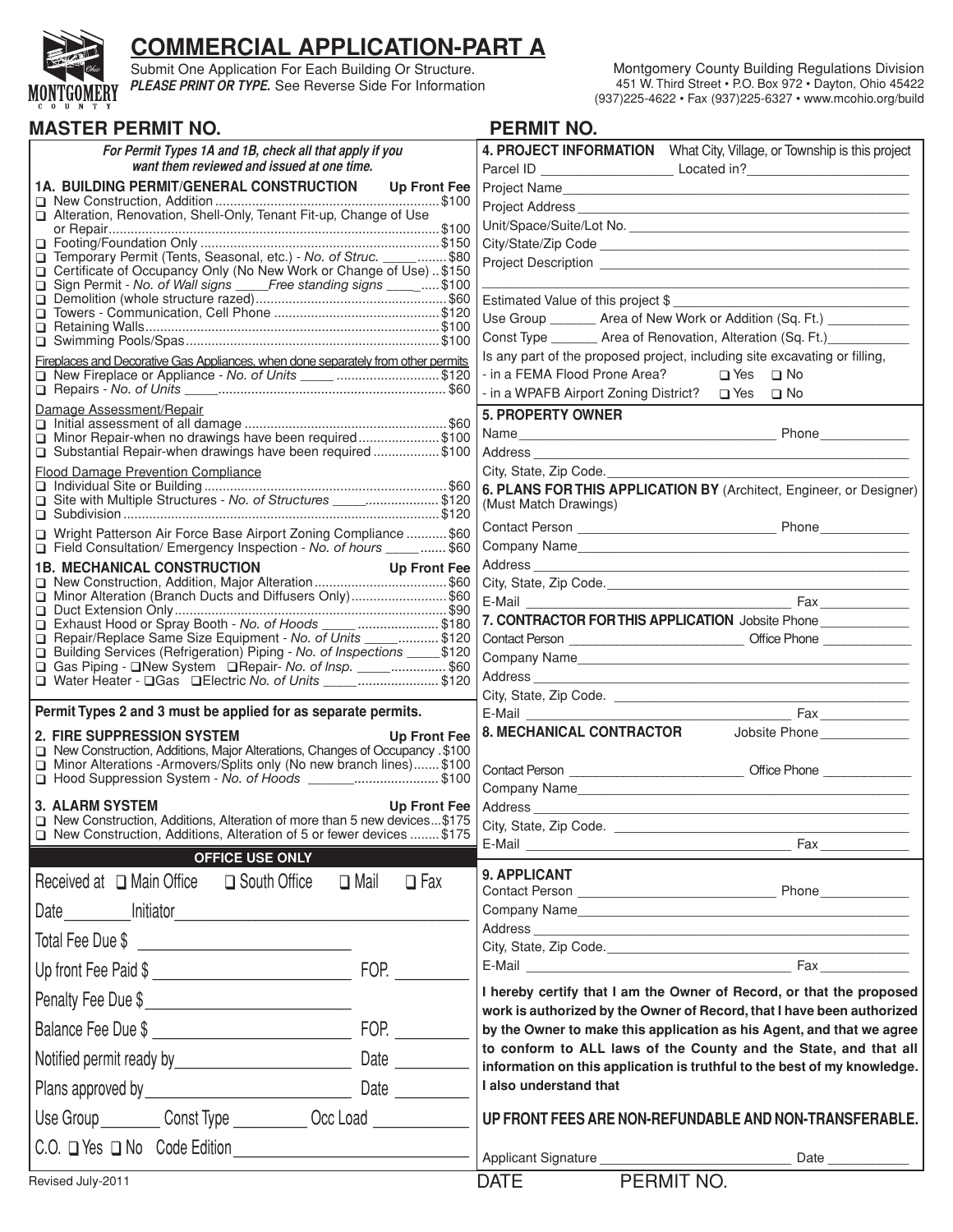

# **COMMERCIAL APPLICATION-PART A**

Submit One Application For Each Building Or Structure. **PLEASE PRINT OR TYPE.** See Reverse Side For Information

| Montgomery County Building Regulations Division            |
|------------------------------------------------------------|
| 451 W. Third Street • P.O. Box 972 • Dayton, Ohio 45422    |
| (937) 225-4622 • Fax (937) 225-6327 • www.mcohio.org/build |

| <b>MASTER PERMIT NO.</b>                                                                                                                        | <b>PERMIT NO.</b>                                                                                                                                                                                                                    |
|-------------------------------------------------------------------------------------------------------------------------------------------------|--------------------------------------------------------------------------------------------------------------------------------------------------------------------------------------------------------------------------------------|
| For Permit Types 1A and 1B, check all that apply if you                                                                                         | 4. PROJECT INFORMATION  What City, Village, or Township is this project                                                                                                                                                              |
| want them reviewed and issued at one time.                                                                                                      |                                                                                                                                                                                                                                      |
| <b>1A. BUILDING PERMIT/GENERAL CONSTRUCTION</b><br><b>Up Front Fee</b>                                                                          |                                                                                                                                                                                                                                      |
| Alteration, Renovation, Shell-Only, Tenant Fit-up, Change of Use                                                                                |                                                                                                                                                                                                                                      |
|                                                                                                                                                 |                                                                                                                                                                                                                                      |
| Temporary Permit (Tents, Seasonal, etc.) - No. of Struc. _____ \$80                                                                             | Project Description <b>contained a contact of the contact of the contact of the contact of the contact of the contact of the contact of the contact of the contact of the contact of the contact of the contact of the contact o</b> |
| □ Certificate of Occupancy Only (No New Work or Change of Use)  \$150<br>□ Sign Permit - No. of Wall signs _____Free standing signs _____ \$100 |                                                                                                                                                                                                                                      |
|                                                                                                                                                 | Estimated Value of this project \$                                                                                                                                                                                                   |
|                                                                                                                                                 | Use Group ________ Area of New Work or Addition (Sq. Ft.) __________                                                                                                                                                                 |
|                                                                                                                                                 | Const Type ________ Area of Renovation, Alteration (Sq. Ft.)                                                                                                                                                                         |
| Fireplaces and Decorative Gas Appliances, when done separately from other permits<br>New Fireplace or Appliance - No. of Units _____ \$120      | Is any part of the proposed project, including site excavating or filling,<br>- in a FEMA Flood Prone Area?<br>$\Box$ Yes $\Box$ No                                                                                                  |
|                                                                                                                                                 |                                                                                                                                                                                                                                      |
| Damage Assessment/Repair                                                                                                                        | <b>5. PROPERTY OWNER</b>                                                                                                                                                                                                             |
| Minor Repair-when no drawings have been required\$100                                                                                           | Phone Phone<br>Name                                                                                                                                                                                                                  |
| Substantial Repair-when drawings have been required\$100                                                                                        |                                                                                                                                                                                                                                      |
| <b>Flood Damage Prevention Compliance</b>                                                                                                       | City, State, Zip Code.                                                                                                                                                                                                               |
| Site with Multiple Structures - No. of Structures _____\$120                                                                                    | 6. PLANS FOR THIS APPLICATION BY (Architect, Engineer, or Designer)                                                                                                                                                                  |
|                                                                                                                                                 | (Must Match Drawings)                                                                                                                                                                                                                |
| □ Wright Patterson Air Force Base Airport Zoning Compliance  \$60                                                                               |                                                                                                                                                                                                                                      |
| Field Consultation/ Emergency Inspection - No. of hours _____ \$60<br><b>1B. MECHANICAL CONSTRUCTION</b>                                        | Company Name                                                                                                                                                                                                                         |
| <b>Up Front Fee</b>                                                                                                                             |                                                                                                                                                                                                                                      |
| Minor Alteration (Branch Ducts and Diffusers Only)\$60                                                                                          | E-Mail <b>E-Mail</b><br>Fax                                                                                                                                                                                                          |
| Exhaust Hood or Spray Booth - No. of Hoods _____ \$180                                                                                          | 7. CONTRACTOR FOR THIS APPLICATION Jobsite Phone                                                                                                                                                                                     |
| Repair/Replace Same Size Equipment - No. of Units _______________ \$120                                                                         |                                                                                                                                                                                                                                      |
| □ Building Services (Refrigeration) Piping - No. of Inspections ______ \$120<br>Gas Piping - New System Repair- No. of Insp. _____\$60          |                                                                                                                                                                                                                                      |
|                                                                                                                                                 |                                                                                                                                                                                                                                      |
| Permit Types 2 and 3 must be applied for as separate permits.                                                                                   |                                                                                                                                                                                                                                      |
| 2. FIRE SUPPRESSION SYSTEM<br><b>Up Front Fee</b>                                                                                               | <b>8. MECHANICAL CONTRACTOR</b><br>Jobsite Phone                                                                                                                                                                                     |
| New Construction, Additions, Major Alterations, Changes of Occupancy \$100                                                                      |                                                                                                                                                                                                                                      |
| Minor Alterations - Armovers/Splits only (No new branch lines) \$100<br>□ Hood Suppression System - No. of Hoods ________\$100                  | Contact Person __________________________________ Office Phone _________________                                                                                                                                                     |
|                                                                                                                                                 | Company Name                                                                                                                                                                                                                         |
| <b>3. ALARM SYSTEM</b><br>Up Front Fee   Address<br>□ New Construction, Additions, Alteration of more than 5 new devices\$175                   |                                                                                                                                                                                                                                      |
| □ New Construction, Additions, Alteration of 5 or fewer devices  \$175                                                                          |                                                                                                                                                                                                                                      |
| <b>OFFICE USE ONLY</b>                                                                                                                          |                                                                                                                                                                                                                                      |
| Received at $\Box$ Main Office $\Box$ South Office<br>$\Box$ Fax<br>$\square$ Mail                                                              | 9. APPLICANT                                                                                                                                                                                                                         |
|                                                                                                                                                 |                                                                                                                                                                                                                                      |
|                                                                                                                                                 |                                                                                                                                                                                                                                      |
|                                                                                                                                                 | <b>Fax</b>                                                                                                                                                                                                                           |
| FOP.<br>Up front Fee Paid \$                                                                                                                    | I hereby certify that I am the Owner of Record, or that the proposed                                                                                                                                                                 |
| Penalty Fee Due \$                                                                                                                              | work is authorized by the Owner of Record, that I have been authorized                                                                                                                                                               |
| FOP. $\qquad \qquad$<br>Balance Fee Due \$                                                                                                      | by the Owner to make this application as his Agent, and that we agree                                                                                                                                                                |
|                                                                                                                                                 | to conform to ALL laws of the County and the State, and that all                                                                                                                                                                     |
|                                                                                                                                                 | information on this application is truthful to the best of my knowledge.<br>I also understand that                                                                                                                                   |
|                                                                                                                                                 |                                                                                                                                                                                                                                      |
| Use Group ___________ Const Type _____________ Occ Load ________________                                                                        | UP FRONT FEES ARE NON-REFUNDABLE AND NON-TRANSFERABLE.                                                                                                                                                                               |
| C.O. Nes No Code Edition<br>Applicant Signature                                                                                                 | Date                                                                                                                                                                                                                                 |